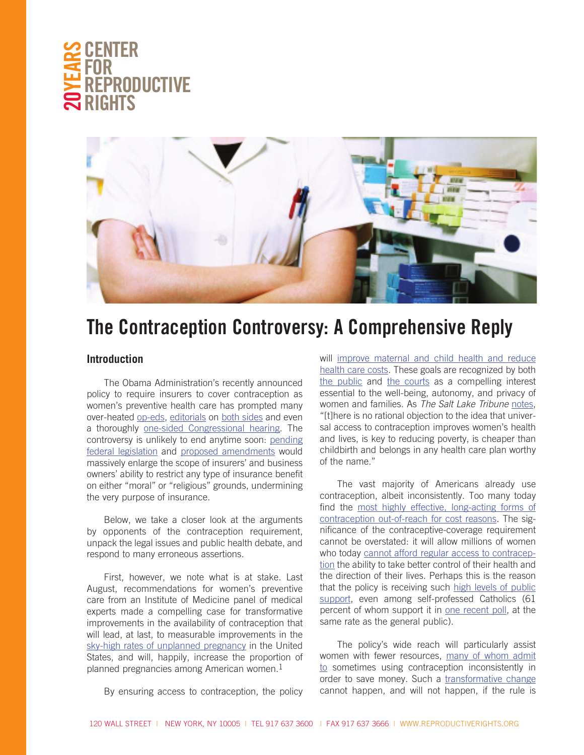



# **The Contraception Controversy: A Comprehensive Reply**

#### **Introduction**

The Obama Administration's recently announced policy to require insurers to cover contraception as women's preventive health care has prompted many over-heated [op-eds,](http://www.washingtonpost.com/opinions/obamas-epic-blunder-on-birth-control-mandate/2012/02/13/gIQAZqlwBR_story.html) [editorials](http://www.nypost.com/p/news/opinion/editorials/bam_pill_plan_re_do_ionXqyCLFaE7dwKk1zrZjI) on [both sides](http://www.washingtonpost.com/opinions/obamas-birth-control-about-face-is-a-win-win-reversal/2012/02/10/gIQAFmM34Q_story.html) and even a thoroughly [one-sided Congressional hearing](http://www.huffingtonpost.com/2012/02/16/contraception-hearing-house-democrats-walk-out_n_1281730.html). The controversy is unlikely to end anytime soon: [pending](http://rubio.senate.gov/public/index.cfm/files/serve/?File_id=3c291825-857a-4b2d-b108-1ca8c983be94)  [federal legislation](http://rubio.senate.gov/public/index.cfm/files/serve/?File_id=3c291825-857a-4b2d-b108-1ca8c983be94) and [proposed amendments](http://blunt.senate.gov/public/_cache/files/12ca4c96-d98c-4b37-920a-cdb15edb24d4/S. 1813 Amendment.pdf) would massively enlarge the scope of insurers' and business owners' ability to restrict any type of insurance benefit on either "moral" or "religious" grounds, undermining the very purpose of insurance.

Below, we take a closer look at the arguments by opponents of the contraception requirement, unpack the legal issues and public health debate, and respond to many erroneous assertions.

First, however, we note what is at stake. Last August, recommendations for women's preventive care from an Institute of Medicine panel of medical experts made a compelling case for transformative improvements in the availability of contraception that will lead, at last, to measurable improvements in the [sky-high rates of unplanned pregnancy](http://www.guttmacher.org/pubs/FB-Unintended-Pregnancy-US.html) in the United States, and will, happily, increase the proportion of planned pregnancies among American women. $1$ 

will [improve maternal and child health and reduce](http://www.guttmacher.org/pubs/gpr/14/1/gpr140107.html) [health care costs](http://www.guttmacher.org/pubs/gpr/14/1/gpr140107.html). These goals are recognized by both [the public](http://dailykos.com/weeklypolling/2012/2/16) and [the courts](http://reproductiverights.org/sites/crr.civicactions.net/files/documents/Center for Reproductive Rights - Comments on Preventive Services Rule - CMS-9992-IFC2 - 9-30-11 - FINAL AS FILED.pdf) as a compelling interest essential to the well-being, autonomy, and privacy of women and families. As *The Salt Lake Tribune* [notes](http://www.sltrib.com/sltrib/opinion/53505280-82/contraception-health-care-catholic.html.csp), "[t]here is no rational objection to the idea that universal access to contraception improves women's health and lives, is key to reducing poverty, is cheaper than childbirth and belongs in any health care plan worthy of the name."

The vast majority of Americans already use contraception, albeit inconsistently. Too many today find the [most highly effective, long-acting forms of](http://www.guttmacher.org/pubs/gpr/14/1/gpr140107.html) [contraception out-of-reach for cost reasons.](http://www.guttmacher.org/pubs/gpr/14/1/gpr140107.html) The significance of the contraceptive-coverage requirement cannot be overstated: it will allow millions of women who today [cannot afford regular access to contracep](http://www.truth-out.org/high-costs-birth-control-major-barrier-access/1329848336)[tion](http://www.truth-out.org/high-costs-birth-control-major-barrier-access/1329848336) the ability to take better control of their health and the direction of their lives. Perhaps this is the reason that the policy is receiving such [high levels of public](http://www.publicpolicypolling.com/main/2012/02/our-polling-on-the-birth-control-issue.html) [support,](http://www.publicpolicypolling.com/main/2012/02/our-polling-on-the-birth-control-issue.html) even among self-professed Catholics (61 percent of whom support it in [one recent poll](http://www.cbsnews.com/8301-250_162-57377936/cbs-news-polls-2-14-12/?tag=contentMain;contentBody), at the same rate as the general public).

The policy's wide reach will particularly assist women with fewer resources, [many of whom admit](http://www.guttmacher.org/pubs/journals/4009408.html) [to](http://www.guttmacher.org/pubs/journals/4009408.html) sometimes using contraception inconsistently in order to save money. Such a [transformative change](http://www.rhrealitycheck.org/article/2012/02/12/why-is-right-so-afraid-free-birth-control) cannot happen, and will not happen, if the rule is

By ensuring access to contraception, the policy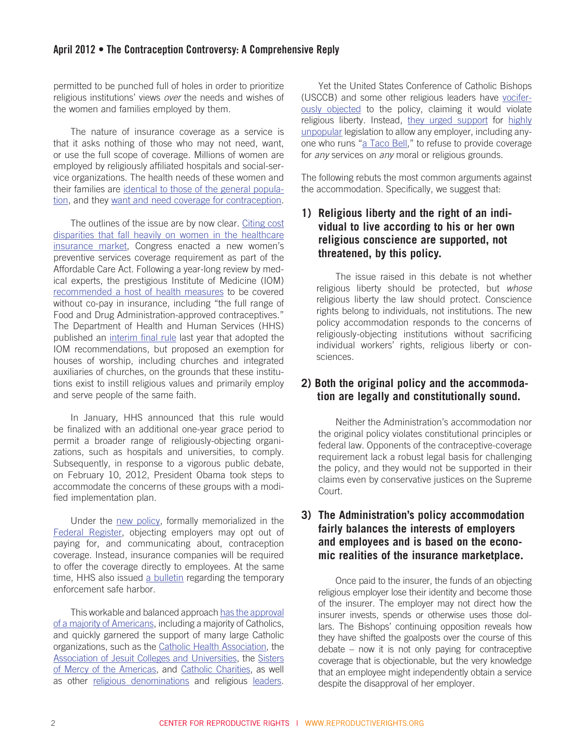permitted to be punched full of holes in order to prioritize religious institutions' views *over* the needs and wishes of the women and families employed by them.

The nature of insurance coverage as a service is that it asks nothing of those who may not need, want, or use the full scope of coverage. Millions of women are employed by religiously affiliated hospitals and social-service organizations. The health needs of these women and their families are [identical to those of the general popula](http://www.guttmacher.org/pubs/Religion-and-Contraceptive-Use.pdf)[tion,](http://www.guttmacher.org/pubs/Religion-and-Contraceptive-Use.pdf) and they [want and need coverage for contraception](http://www.coalitiontoprotectwomenshealth.org/wp-content/uploads/2012/02/catholics_and_birth_control_benefit.pdf).

The outlines of the issue are by now clear. [Citing cost](http://www.mikulski.senate.gov/_pdfs/Press/MikulskiAmendmentSummary.pdf)  [disparities that fall heavily on women in the healthcare](http://www.mikulski.senate.gov/_pdfs/Press/MikulskiAmendmentSummary.pdf)  [insurance market](http://www.mikulski.senate.gov/_pdfs/Press/MikulskiAmendmentSummary.pdf), Congress enacted a new women's preventive services coverage requirement as part of the Affordable Care Act. Following a year-long review by medical experts, the prestigious Institute of Medicine (IOM) [recommended a host of health measures](http://www.iom.edu/Reports/2011/Clinical-Preventive-Services-for-Women-Closing-the-Gaps.aspx) to be covered without co-pay in insurance, including "the full range of Food and Drug Administration-approved contraceptives." The Department of Health and Human Services (HHS) published an [interim final rule](http://www.hrsa.gov/womensguidelines/) last year that adopted the IOM recommendations, but proposed an exemption for houses of worship, including churches and integrated auxiliaries of churches, on the grounds that these institutions exist to instill religious values and primarily employ and serve people of the same faith.

In January, HHS announced that this rule would be finalized with an additional one-year grace period to permit a broader range of religiously-objecting organizations, such as hospitals and universities, to comply. Subsequently, in response to a vigorous public debate, on February 10, 2012, President Obama took steps to accommodate the concerns of these groups with a modified implementation plan.

Under the [new policy,](http://www.whitehouse.gov/the-press-office/2012/02/10/fact-sheet-women-s-preventive-services-and-religious-institutions) formally memorialized in the [Federal Register,](http://www.gpo.gov/fdsys/pkg/FR-2012-02-15/pdf/2012-3547.pdf) objecting employers may opt out of paying for, and communicating about, contraception coverage. Instead, insurance companies will be required to offer the coverage directly to employees. At the same time, HHS also issued [a bulletin](http://cciio.cms.gov/resources/files/Files2/02102012/20120210-Preventive-Services-Bulletin.pdf) regarding the temporary enforcement safe harbor.

This workable and balanced approach [has the approval](http://www.nytimes.com/2012/02/15/us/politics/poll-finds-support-for-contraception-policy-and-gay-couples.html)  [of a majority of Americans](http://www.nytimes.com/2012/02/15/us/politics/poll-finds-support-for-contraception-policy-and-gay-couples.html), including a majority of Catholics, and quickly garnered the support of many large Catholic organizations, such as the [Catholic Health Association](http://www.chausa.org/Pages/Newsroom/Releases/2012/Catholic_Health_Association_is_Very_Pleased_with_Todays_White_House_Resolution_that_Protects_Religious_Liberty_and_Conscience_Rights/), the [Association of Jesuit Colleges and Universities](http://www.ajcunet.edu/index.aspx?bid=992), the [Sisters](http://www.sistersofmercy.org/index.php?option=com_content&task=view&id=3634&Itemid=180)  [of Mercy of the Americas,](http://www.sistersofmercy.org/index.php?option=com_content&task=view&id=3634&Itemid=180) and [Catholic Charities,](http://www.catholiccharitiesusa.org/page.aspx?pid=2540) as well as other [religious denominations](http://www.washingtonpost.com/blogs/guest-voices/post/why-this-baptist-is-opposed-to-the-catholic-bishops-on-the-birth-control-mandate/2012/02/23/gIQA2ZZDWR_blog.html) and religious [leaders](http://www.rhrealitycheck.org/article/2012/02/23/it%E2%80%99s-not-about-religious-freedom).

Yet the United States Conference of Catholic Bishops (USCCB) and some other religious leaders have [vocifer](http://usccb.org/news/2012/12-026.cfm)[ously objected](http://usccb.org/news/2012/12-026.cfm) to the policy, claiming it would violate religious liberty. Instead, [they urged support](http://www.usccb.org/issues-and-action/religious-liberty/conscience-protection/upload/DearSenatorfeb151.pdf) for [highly](http://www.dailykos.com/story/2012/02/21/1061594/-Daily-Kos-SEIU-State-of-the-Nation-Poll-Americans-strongly-opposed-to-Blunt-amendment?via=blog_1)  [unpopular](http://www.dailykos.com/story/2012/02/21/1061594/-Daily-Kos-SEIU-State-of-the-Nation-Poll-Americans-strongly-opposed-to-Blunt-amendment?via=blog_1) legislation to allow any employer, including anyone who runs ["a Taco Bell,](http://www.usatoday.com/news/washington/story/2012-02-08/catholics-contraceptive-mandate/53014864/1)" to refuse to provide coverage for *any* services on *any* moral or religious grounds.

The following rebuts the most common arguments against the accommodation. Specifically, we suggest that:

## **1) Religious liberty and the right of an individual to live according to his or her own religious conscience are supported, not threatened, by this policy.**

The issue raised in this debate is not whether religious liberty should be protected, but *whose* religious liberty the law should protect. Conscience rights belong to individuals, not institutions. The new policy accommodation responds to the concerns of religiously-objecting institutions without sacrificing individual workers' rights, religious liberty or consciences.

## **2) Both the original policy and the accommodation are legally and constitutionally sound.**

Neither the Administration's accommodation nor the original policy violates constitutional principles or federal law. Opponents of the contraceptive-coverage requirement lack a robust legal basis for challenging the policy, and they would not be supported in their claims even by conservative justices on the Supreme Court.

## **3) The Administration's policy accommodation fairly balances the interests of employers and employees and is based on the economic realities of the insurance marketplace.**

Once paid to the insurer, the funds of an objecting religious employer lose their identity and become those of the insurer. The employer may not direct how the insurer invests, spends or otherwise uses those dollars. The Bishops' continuing opposition reveals how they have shifted the goalposts over the course of this debate – now it is not only paying for contraceptive coverage that is objectionable, but the very knowledge that an employee might independently obtain a service despite the disapproval of her employer.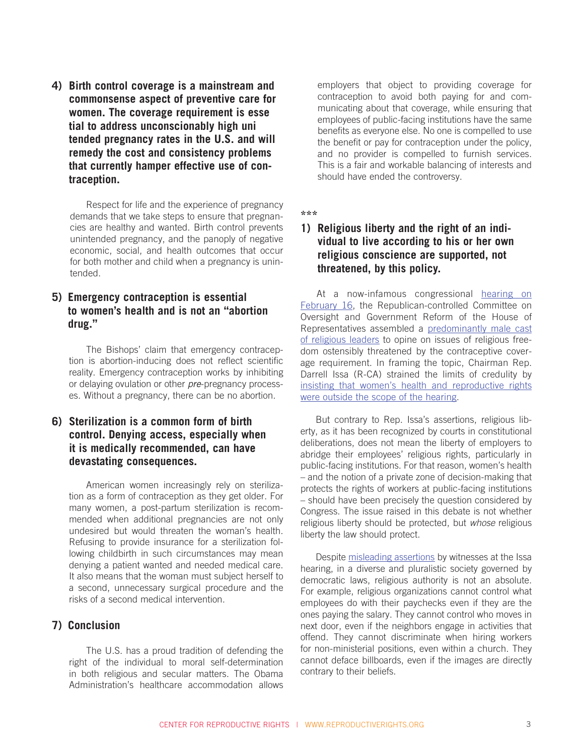**4) Birth control coverage is a mainstream and commonsense aspect of preventive care for women. The coverage requirement is esse tial to address unconscionably high uni tended pregnancy rates in the U.S. and will remedy the cost and consistency problems that currently hamper effective use of contraception.** 

Respect for life and the experience of pregnancy demands that we take steps to ensure that pregnancies are healthy and wanted. Birth control prevents unintended pregnancy, and the panoply of negative economic, social, and health outcomes that occur for both mother and child when a pregnancy is unintended.

#### **5) Emergency contraception is essential to women's health and is not an "abortion drug."**

The Bishops' claim that emergency contraception is abortion-inducing does not reflect scientific reality. Emergency contraception works by inhibiting or delaying ovulation or other *pre*-pregnancy processes. Without a pregnancy, there can be no abortion.

## **6) Sterilization is a common form of birth control. Denying access, especially when it is medically recommended, can have devastating consequences.**

American women increasingly rely on sterilization as a form of contraception as they get older. For many women, a post-partum sterilization is recommended when additional pregnancies are not only undesired but would threaten the woman's health. Refusing to provide insurance for a sterilization following childbirth in such circumstances may mean denying a patient wanted and needed medical care. It also means that the woman must subject herself to a second, unnecessary surgical procedure and the risks of a second medical intervention.

#### **7) Conclusion**

The U.S. has a proud tradition of defending the right of the individual to moral self-determination in both religious and secular matters. The Obama Administration's healthcare accommodation allows

employers that object to providing coverage for contraception to avoid both paying for and communicating about that coverage, while ensuring that employees of public-facing institutions have the same benefits as everyone else. No one is compelled to use the benefit or pay for contraception under the policy, and no provider is compelled to furnish services. This is a fair and workable balancing of interests and should have ended the controversy.

**\*\*\***

## **1) Religious liberty and the right of an individual to live according to his or her own religious conscience are supported, not threatened, by this policy.**

At a now-infamous congressional [hearing on](http://1.usa.gov/yinV9W)  [February 16,](http://1.usa.gov/yinV9W) the Republican-controlled Committee on Oversight and Government Reform of the House of Representatives assembled a [predominantly male cast](http://www.cbsnews.com/8301-503544_162-57379351-503544/dems-decry-all-male-house-panel-on-wh-contraception-rule/)  [of religious leaders](http://www.cbsnews.com/8301-503544_162-57379351-503544/dems-decry-all-male-house-panel-on-wh-contraception-rule/) to opine on issues of religious freedom ostensibly threatened by the contraceptive coverage requirement. In framing the topic, Chairman Rep. Darrell Issa (R-CA) strained the limits of credulity by [insisting that women's health and reproductive rights](http://thinkprogress.org/health/2012/02/16/426850/democratic-women-boycott-issas-contraception-hearing-for-preventing-women-from-testifying/)  [were outside the scope of the hearing.](http://thinkprogress.org/health/2012/02/16/426850/democratic-women-boycott-issas-contraception-hearing-for-preventing-women-from-testifying/)

But contrary to Rep. Issa's assertions, religious liberty, as it has been recognized by courts in constitutional deliberations, does not mean the liberty of employers to abridge their employees' religious rights, particularly in public-facing institutions. For that reason, women's health – and the notion of a private zone of decision-making that protects the rights of workers at public-facing institutions – should have been precisely the question considered by Congress. The issue raised in this debate is not whether religious liberty should be protected, but *whose* religious liberty the law should protect.

Despite [misleading assertions](http://oversight.house.gov/index.php?option=com_content&view=article&id=1598%3A2-16-12-qlines-crossed-separation-of-church-and-state-has-the-obama-administration-trampled-on-freedom-of-religion-and-freedom-of-conscienceq&catid=12&Itemid=1) by witnesses at the Issa hearing, in a diverse and pluralistic society governed by democratic laws, religious authority is not an absolute. For example, religious organizations cannot control what employees do with their paychecks even if they are the ones paying the salary. They cannot control who moves in next door, even if the neighbors engage in activities that offend. They cannot discriminate when hiring workers for non-ministerial positions, even within a church. They cannot deface billboards, even if the images are directly contrary to their beliefs.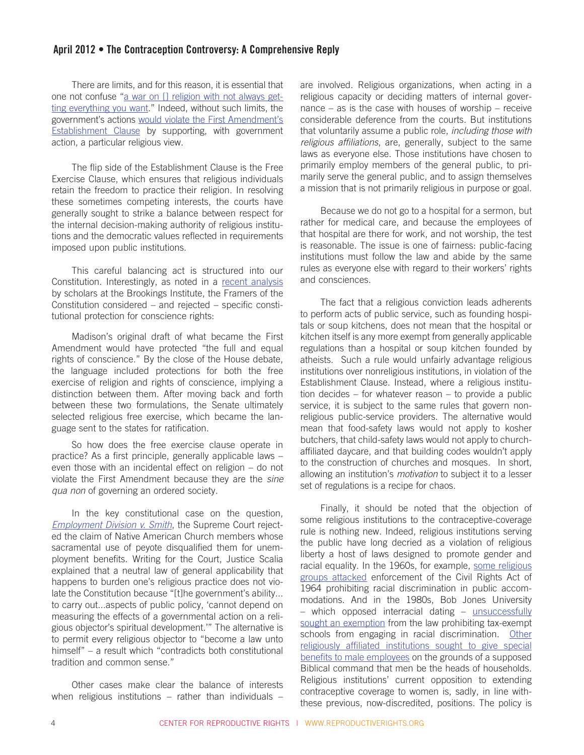There are limits, and for this reason, it is essential that one not confuse ["a war on \[\] religion with not always get](http://www.thedailyshow.com/watch/mon-february-13-2012/the-vagina-ideologues---sean-hannity-s-holy-sausage-fest)[ting everything you want](http://www.thedailyshow.com/watch/mon-february-13-2012/the-vagina-ideologues---sean-hannity-s-holy-sausage-fest)." Indeed, without such limits, the government's actions [would violate the First Amendment's](https://au.org/files/2012-2-15 Hearing AU Testimony_0.pdf)  **[Establishment Clause](https://au.org/files/2012-2-15 Hearing AU Testimony_0.pdf) by supporting, with government** action, a particular religious view.

The flip side of the Establishment Clause is the Free Exercise Clause, which ensures that religious individuals retain the freedom to practice their religion. In resolving these sometimes competing interests, the courts have generally sought to strike a balance between respect for the internal decision-making authority of religious institutions and the democratic values reflected in requirements imposed upon public institutions.

This careful balancing act is structured into our Constitution. Interestingly, as noted in a [recent analysis](http://www.brookings.edu/~/media/Files/rc/papers/2012/0223_health_care_galston_rogers/0223_health_care_galston_rogers.pdf) by scholars at the Brookings Institute, the Framers of the Constitution considered – and rejected – specific constitutional protection for conscience rights:

Madison's original draft of what became the First Amendment would have protected "the full and equal rights of conscience." By the close of the House debate, the language included protections for both the free exercise of religion and rights of conscience, implying a distinction between them. After moving back and forth between these two formulations, the Senate ultimately selected religious free exercise, which became the language sent to the states for ratification.

So how does the free exercise clause operate in practice? As a first principle, generally applicable laws – even those with an incidental effect on religion – do not violate the First Amendment because they are the *sine qua non* of governing an ordered society.

In the key constitutional case on the question, *[Employment Division v. Smith](http://www.oyez.org/cases/1980-1989/1989/1989_88_1213/)*, the Supreme Court rejected the claim of Native American Church members whose sacramental use of peyote disqualified them for unemployment benefits. Writing for the Court, Justice Scalia explained that a neutral law of general applicability that happens to burden one's religious practice does not violate the Constitution because "[t]he government's ability... to carry out...aspects of public policy, 'cannot depend on measuring the effects of a governmental action on a religious objector's spiritual development.'" The alternative is to permit every religious objector to "become a law unto himself" – a result which "contradicts both constitutional tradition and common sense."

Other cases make clear the balance of interests when religious institutions – rather than individuals –

are involved. Religious organizations, when acting in a religious capacity or deciding matters of internal governance – as is the case with houses of worship – receive considerable deference from the courts. But institutions that voluntarily assume a public role, *including those with religious affiliations*, are, generally, subject to the same laws as everyone else. Those institutions have chosen to primarily employ members of the general public, to primarily serve the general public, and to assign themselves a mission that is not primarily religious in purpose or goal.

Because we do not go to a hospital for a sermon, but rather for medical care, and because the employees of that hospital are there for work, and not worship, the test is reasonable. The issue is one of fairness: public-facing institutions must follow the law and abide by the same rules as everyone else with regard to their workers' rights and consciences.

The fact that a religious conviction leads adherents to perform acts of public service, such as founding hospitals or soup kitchens, does not mean that the hospital or kitchen itself is any more exempt from generally applicable regulations than a hospital or soup kitchen founded by atheists. Such a rule would unfairly advantage religious institutions over nonreligious institutions, in violation of the Establishment Clause. Instead, where a religious institution decides – for whatever reason – to provide a public service, it is subject to the same rules that govern nonreligious public-service providers. The alternative would mean that food-safety laws would not apply to kosher butchers, that child-safety laws would not apply to churchaffiliated daycare, and that building codes wouldn't apply to the construction of churches and mosques. In short, allowing an institution's *motivation* to subject it to a lesser set of regulations is a recipe for chaos.

Finally, it should be noted that the objection of some religious institutions to the contraceptive-coverage rule is nothing new. Indeed, religious institutions serving the public have long decried as a violation of religious liberty a host of laws designed to promote gender and racial equality. In the 1960s, for example, [some religious](http://scholar.google.com/scholar_case?case=11143253105363153851&q=256+F.+Supp.+941+&hl=en&as_sdt=2,9)  [groups attacked](http://scholar.google.com/scholar_case?case=11143253105363153851&q=256+F.+Supp.+941+&hl=en&as_sdt=2,9) enforcement of the Civil Rights Act of 1964 prohibiting racial discrimination in public accommodations. And in the 1980s, Bob Jones University – which opposed interracial dating – [unsuccessfully](http://scholar.google.com/scholar_case?case=5709622583578921647&q=461+U.S.+574+%281983%29&hl=en&as_sdt=2,9)  [sought an exemption](http://scholar.google.com/scholar_case?case=5709622583578921647&q=461+U.S.+574+%281983%29&hl=en&as_sdt=2,9) from the law prohibiting tax-exempt schools from engaging in racial discrimination. Other [religiously affiliated institutions sought to give special](http://scholar.google.com/scholar_case?case=11192773829152434128&q=781+F.2d+1362+%289th+Cir.+1986%29&hl=en&as_sdt=2,9)  [benefits to male employees](http://scholar.google.com/scholar_case?case=11192773829152434128&q=781+F.2d+1362+%289th+Cir.+1986%29&hl=en&as_sdt=2,9) on the grounds of a supposed Biblical command that men be the heads of households. Religious institutions' current opposition to extending contraceptive coverage to women is, sadly, in line withthese previous, now-discredited, positions. The policy is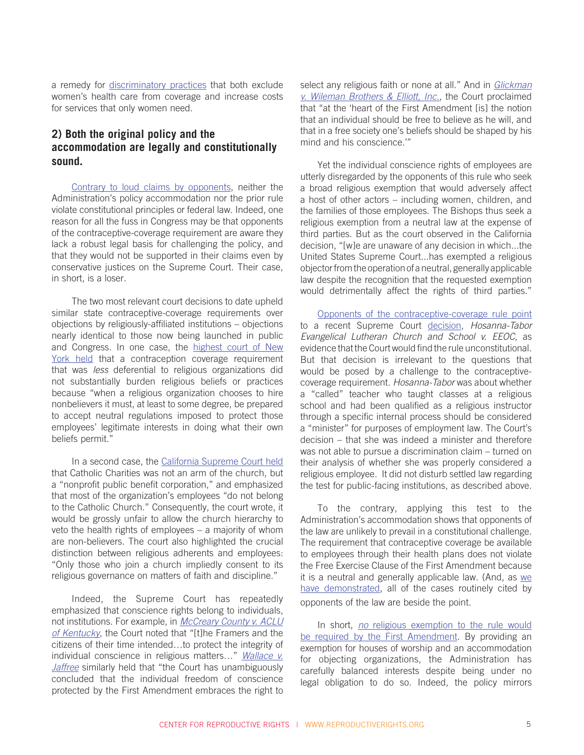a remedy for [discriminatory practices](http://www.eeoc.gov/policy/docs/decision-contraception.html) that both exclude women's health care from coverage and increase costs for services that only women need.

#### **2) Both the original policy and the accommodation are legally and constitutionally sound.**

[Contrary to loud claims by opponents](http://www.becketfund.org/hhs/), neither the Administration's policy accommodation nor the prior rule violate constitutional principles or federal law. Indeed, one reason for all the fuss in Congress may be that opponents of the contraceptive-coverage requirement are aware they lack a robust legal basis for challenging the policy, and that they would not be supported in their claims even by conservative justices on the Supreme Court. Their case, in short, is a loser.

The two most relevant court decisions to date upheld similar state contraceptive-coverage requirements over objections by religiously-affiliated institutions – objections nearly identical to those now being launched in public and Congress. In one case, the [highest court of New](http://www.law.cornell.edu/nyctap/I06_0127.htm)  [York held](http://www.law.cornell.edu/nyctap/I06_0127.htm) that a contraception coverage requirement that was *less* deferential to religious organizations did not substantially burden religious beliefs or practices because "when a religious organization chooses to hire nonbelievers it must, at least to some degree, be prepared to accept neutral regulations imposed to protect those employees' legitimate interests in doing what their own beliefs permit."

In a second case, the [California Supreme Court held](http://scholar.google.com/scholar_case?case=8170173657582045618&hl=en&as_sdt=2,9) that Catholic Charities was not an arm of the church, but a "nonprofit public benefit corporation," and emphasized that most of the organization's employees "do not belong to the Catholic Church." Consequently, the court wrote, it would be grossly unfair to allow the church hierarchy to veto the health rights of employees – a majority of whom are non-believers. The court also highlighted the crucial distinction between religious adherents and employees: "Only those who join a church impliedly consent to its religious governance on matters of faith and discipline."

Indeed, the Supreme Court has repeatedly emphasized that conscience rights belong to individuals, not institutions. For example, in *[McCreary County v. ACLU](http://scholar.google.com/scholar_case?case=12562965837902735221&q=545+U.S.+844&hl=en&as_sdt=2,9) [of Kentucky](http://scholar.google.com/scholar_case?case=12562965837902735221&q=545+U.S.+844&hl=en&as_sdt=2,9)*, the Court noted that "[t]he Framers and the citizens of their time intended…to protect the integrity of individual conscience in religious matters…" *[Wallace v.](http://scholar.google.com/scholar_case?case=2471425569650729212&q=++472+U.S.+38&hl=en&as_sdt=2,9) [Jaffree](http://scholar.google.com/scholar_case?case=2471425569650729212&q=++472+U.S.+38&hl=en&as_sdt=2,9)* similarly held that "the Court has unambiguously concluded that the individual freedom of conscience protected by the First Amendment embraces the right to

select any religious faith or none at all." And in *[Glickman](http://scholar.google.com/scholar_case?case=9120383597542913408&q=521+U.S.+457&hl=en&as_sdt=2,9)  [v. Wileman Brothers & Elliott, Inc.](http://scholar.google.com/scholar_case?case=9120383597542913408&q=521+U.S.+457&hl=en&as_sdt=2,9)*, the Court proclaimed that "at the 'heart of the First Amendment [is] the notion that an individual should be free to believe as he will, and that in a free society one's beliefs should be shaped by his mind and his conscience.'"

Yet the individual conscience rights of employees are utterly disregarded by the opponents of this rule who seek a broad religious exemption that would adversely affect a host of other actors – including women, children, and the families of those employees. The Bishops thus seek a religious exemption from a neutral law at the expense of third parties. But as the court observed in the California decision, "[w]e are unaware of any decision in which...the United States Supreme Court...has exempted a religious objector from the operation of a neutral, generally applicable law despite the recognition that the requested exemption would detrimentally affect the rights of third parties."

[Opponents of the contraceptive-coverage rule point](http://thedianerehmshow.org/shows/2012-02-02/catholics-contraception-and-new-health-care-law/transcript) to a recent Supreme Court [decision,](http://www.supremecourt.gov/opinions/11pdf/10-553.pdf) *Hosanna-Tabor Evangelical Lutheran Church and School v. EEOC*, as evidence that the Court would find the rule unconstitutional. But that decision is irrelevant to the questions that would be posed by a challenge to the contraceptivecoverage requirement. *Hosanna-Tabor* was about whether a "called" teacher who taught classes at a religious school and had been qualified as a religious instructor through a specific internal process should be considered a "minister" for purposes of employment law. The Court's decision – that she was indeed a minister and therefore was not able to pursue a discrimination claim – turned on their analysis of whether she was properly considered a religious employee. It did not disturb settled law regarding the test for public-facing institutions, as described above.

To the contrary, applying this test to the Administration's accommodation shows that opponents of the law are unlikely to prevail in a constitutional challenge. The requirement that contraceptive coverage be available to employees through their health plans does not violate the Free Exercise Clause of the First Amendment because it is a neutral and generally applicable law. (And, as we [have demonstrated](http://bit.ly/yaljdx), all of the cases routinely cited by opponents of the law are beside the point.

In short, *no* [religious exemption to the rule would](http://reproductiverights.org/sites/crr.civicactions.net/files/documents/Center for Reproductive Rights - Comments on Preventive Services Rule - CMS-9992-IFC2 - 9-30-11 - FINAL AS FILED.pdf)  [be required by the First Amendment.](http://reproductiverights.org/sites/crr.civicactions.net/files/documents/Center for Reproductive Rights - Comments on Preventive Services Rule - CMS-9992-IFC2 - 9-30-11 - FINAL AS FILED.pdf) By providing an exemption for houses of worship and an accommodation for objecting organizations, the Administration has carefully balanced interests despite being under no legal obligation to do so. Indeed, the policy mirrors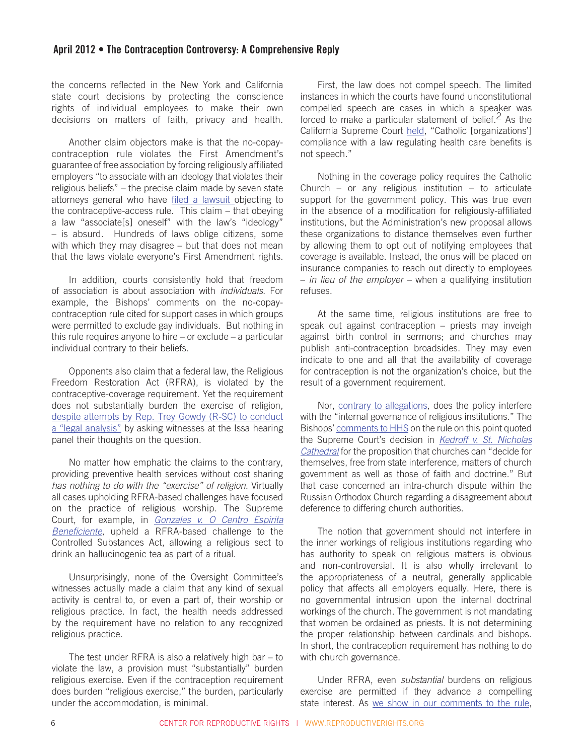the concerns reflected in the New York and California state court decisions by protecting the conscience rights of individual employees to make their own decisions on matters of faith, privacy and health.

Another claim objectors make is that the no-copaycontraception rule violates the First Amendment's guarantee of free association by forcing religiously affiliated employers "to associate with an ideology that violates their religious beliefs" – the precise claim made by seven state attorneys general who have [filed a lawsuit](http://myfloridalegal.com/webfiles.nsf/WF/MMFD-8RRSFW/$file/ReligiousFreedomComplaint.pdf) objecting to the contraceptive-access rule. This claim – that obeying a law "associate[s] oneself" with the law's "ideology" – is absurd. Hundreds of laws oblige citizens, some with which they may disagree – but that does not mean that the laws violate everyone's First Amendment rights.

In addition, courts consistently hold that freedom of association is about association with *individuals*. For example, the Bishops' comments on the no-copaycontraception rule cited for support cases in which groups were permitted to exclude gay individuals. But nothing in this rule requires anyone to hire – or exclude – a particular individual contrary to their beliefs.

Opponents also claim that a federal law, the Religious Freedom Restoration Act (RFRA), is violated by the contraceptive-coverage requirement. Yet the requirement does not substantially burden the exercise of religion, [despite attempts by Rep. Trey Gowdy \(R-SC\) to conduct](http://www.youtube.com/watch?v=9nJRUxj-HUY&feature=youtu.be&t=2h20m14s) [a "legal analysis"](http://www.youtube.com/watch?v=9nJRUxj-HUY&feature=youtu.be&t=2h20m14s) by asking witnesses at the Issa hearing panel their thoughts on the question.

No matter how emphatic the claims to the contrary, providing preventive health services without cost sharing *has nothing to do with the "exercise" of religion*. Virtually all cases upholding RFRA-based challenges have focused on the practice of religious worship. The Supreme Court, for example, in *[Gonzales v. O Centro Espirita](http://www.oyez.org/cases/2000-2009/2005/2005_04_1084) [Beneficiente](http://www.oyez.org/cases/2000-2009/2005/2005_04_1084)*, upheld a RFRA-based challenge to the Controlled Substances Act, allowing a religious sect to drink an hallucinogenic tea as part of a ritual.

Unsurprisingly, none of the Oversight Committee's witnesses actually made a claim that any kind of sexual activity is central to, or even a part of, their worship or religious practice. In fact, the health needs addressed by the requirement have no relation to any recognized religious practice.

The test under RFRA is also a relatively high bar – to violate the law, a provision must "substantially" burden religious exercise. Even if the contraception requirement does burden "religious exercise," the burden, particularly under the accommodation, is minimal.

First, the law does not compel speech. The limited instances in which the courts have found unconstitutional compelled speech are cases in which a speaker was forced to make a particular statement of belief.<sup>2</sup> As the California Supreme Court [held,](http://scholar.google.com/scholar_case?case=8170173657582045618&hl=en&as_sdt=2,9) "Catholic [organizations'] compliance with a law regulating health care benefits is not speech."

Nothing in the coverage policy requires the Catholic Church – or any religious institution – to articulate support for the government policy. This was true even in the absence of a modification for religiously-affiliated institutions, but the Administration's new proposal allows these organizations to distance themselves even further by allowing them to opt out of notifying employees that coverage is available. Instead, the onus will be placed on insurance companies to reach out directly to employees – *in lieu of the employer* – when a qualifying institution refuses.

At the same time, religious institutions are free to speak out against contraception – priests may inveigh against birth control in sermons; and churches may publish anti-contraception broadsides. They may even indicate to one and all that the availability of coverage for contraception is not the organization's choice, but the result of a government requirement.

Nor, [contrary to allegations](http://usccb.org/news/2012/12-026.cfm), does the policy interfere with the "internal governance of religious institutions." The Bishops' [comments to HHS](http://www.usccb.org/about/general-counsel/rulemaking/upload/comments-to-hhs-on-preventive-services-2011-08.pdf) on the rule on this point quoted the Supreme Court's decision in *[Kedroff v. St. Nicholas](http://caselaw.lp.findlaw.com/scripts/getcase.pl?court=us&vol=344&invol=94)  [Cathedral](http://caselaw.lp.findlaw.com/scripts/getcase.pl?court=us&vol=344&invol=94)* for the proposition that churches can "decide for themselves, free from state interference, matters of church government as well as those of faith and doctrine." But that case concerned an intra-church dispute within the Russian Orthodox Church regarding a disagreement about deference to differing church authorities.

The notion that government should not interfere in the inner workings of religious institutions regarding who has authority to speak on religious matters is obvious and non-controversial. It is also wholly irrelevant to the appropriateness of a neutral, generally applicable policy that affects all employers equally. Here, there is no governmental intrusion upon the internal doctrinal workings of the church. The government is not mandating that women be ordained as priests. It is not determining the proper relationship between cardinals and bishops. In short, the contraception requirement has nothing to do with church governance.

Under RFRA, even *substantial* burdens on religious exercise are permitted if they advance a compelling state interest. As [we show in our comments to the rule](http://reproductiverights.org/sites/crr.civicactions.net/files/documents/Center for Reproductive Rights - Comments on Preventive Services Rule - CMS-9992-IFC2 - 9-30-11 - FINAL AS FILED.pdf),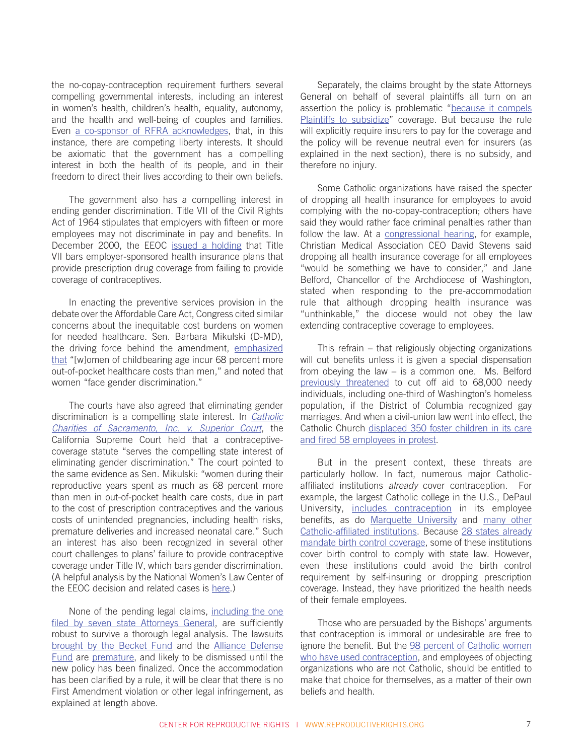the no-copay-contraception requirement furthers several compelling governmental interests, including an interest in women's health, children's health, equality, autonomy, and the health and well-being of couples and families. Even [a co-sponsor of RFRA acknowledges](http://thehill.com/blogs/congress-blog/religious-rights/211219-rep-jerrold-nadler-d-ny), that, in this instance, there are competing liberty interests. It should be axiomatic that the government has a compelling interest in both the health of its people, and in their freedom to direct their lives according to their own beliefs.

The government also has a compelling interest in ending gender discrimination. Title VII of the Civil Rights Act of 1964 stipulates that employers with fifteen or more employees may not discriminate in pay and benefits. In December 2000, the EEOC [issued a holding](http://www.eeoc.gov/policy/docs/decision-contraception.html) that Title VII bars employer-sponsored health insurance plans that provide prescription drug coverage from failing to provide coverage of contraceptives.

In enacting the preventive services provision in the debate over the Affordable Care Act, Congress cited similar concerns about the inequitable cost burdens on women for needed healthcare. Sen. Barbara Mikulski (D-MD), the driving force behind the amendment, [emphasized](http://mikulski.senate.gov/media/pressrelease/11-30-2009-2.cfm) [that](http://mikulski.senate.gov/media/pressrelease/11-30-2009-2.cfm) "[w]omen of childbearing age incur 68 percent more out-of-pocket healthcare costs than men," and noted that women "face gender discrimination."

The courts have also agreed that eliminating gender discrimination is a compelling state interest. In *[Catholic](http://scholar.google.com/scholar_case?q=85+P.3d+67+&hl=en&as_sdt=2,9&case=8170173657582045618&scilh=0)  [Charities of Sacramento, Inc. v. Superior Court](http://scholar.google.com/scholar_case?q=85+P.3d+67+&hl=en&as_sdt=2,9&case=8170173657582045618&scilh=0)*, the California Supreme Court held that a contraceptivecoverage statute "serves the compelling state interest of eliminating gender discrimination." The court pointed to the same evidence as Sen. Mikulski: "women during their reproductive years spent as much as 68 percent more than men in out-of-pocket health care costs, due in part to the cost of prescription contraceptives and the various costs of unintended pregnancies, including health risks, premature deliveries and increased neonatal care." Such an interest has also been recognized in several other court challenges to plans' failure to provide contraceptive coverage under Title IV, which bars gender discrimination. (A helpful analysis by the National Women's Law Center of the EEOC decision and related cases is [here](http://www.nwlc.org/sites/default/files/pdfs/title_vii_and_contraceptive_coverage_final.pdf).)

None of the pending legal claims, [including the one](http://myfloridalegal.com/webfiles.nsf/WF/MMFD-8RRSFW/$file/ReligiousFreedomComplaint.pdf)  [filed by seven state Attorneys General](http://myfloridalegal.com/webfiles.nsf/WF/MMFD-8RRSFW/$file/ReligiousFreedomComplaint.pdf), are sufficiently robust to survive a thorough legal analysis. The lawsuits [brought by the Becket Fund](http://www.becketfund.org/hhs/) and the [Alliance Defense](http://www.foxnews.com/politics/2012/02/23/small-religious-colleges-mount-legal-challenge-to-contraceptive-mandate/) [Fund](http://www.foxnews.com/politics/2012/02/23/small-religious-colleges-mount-legal-challenge-to-contraceptive-mandate/) are [premature,](http://www.becketfund.org/wp-content/uploads/2012/01/DOJ-response-to-BF-on-BAC.pdf) and likely to be dismissed until the new policy has been finalized. Once the accommodation has been clarified by a rule, it will be clear that there is no First Amendment violation or other legal infringement, as explained at length above.

Separately, the claims brought by the state Attorneys General on behalf of several plaintiffs all turn on an assertion the policy is problematic ["because it compels](http://myfloridalegal.com/webfiles.nsf/WF/MMFD-8RRSFW/$file/ReligiousFreedomComplaint.pdf)  [Plaintiffs to subsidize](http://myfloridalegal.com/webfiles.nsf/WF/MMFD-8RRSFW/$file/ReligiousFreedomComplaint.pdf)" coverage. But because the rule will explicitly require insurers to pay for the coverage and the policy will be revenue neutral even for insurers (as explained in the next section), there is no subsidy, and therefore no injury.

Some Catholic organizations have raised the specter of dropping all health insurance for employees to avoid complying with the no-copay-contraception; others have said they would rather face criminal penalties rather than follow the law. At a [congressional hearing](http://energycommerce.house.gov/hearings/hearingdetail.aspx?NewsID=9048), for example, Christian Medical Association CEO David Stevens said dropping all health insurance coverage for all employees "would be something we have to consider," and Jane Belford, Chancellor of the Archdiocese of Washington, stated when responding to the pre-accommodation rule that although dropping health insurance was "unthinkable," the diocese would not obey the law extending contraceptive coverage to employees.

This refrain – that religiously objecting organizations will cut benefits unless it is given a special dispensation from obeying the law – is a common one. Ms. Belford [previously threatened](http://www.washingtonpost.com/wp-dyn/content/article/2009/11/11/AR2009111116943.html) to cut off aid to 68,000 needy individuals, including one-third of Washington's homeless population, if the District of Columbia recognized gay marriages. And when a civil-union law went into effect, the Catholic Church [displaced 350 foster children in its care](http://articles.chicagotribune.com/2011-05-26/news/ct-met-rockford-catholic-charities-st20110526_1_catholic-charities-adoption-services-care-and-adoption)  [and fired 58 employees in protest](http://articles.chicagotribune.com/2011-05-26/news/ct-met-rockford-catholic-charities-st20110526_1_catholic-charities-adoption-services-care-and-adoption).

But in the present context, these threats are particularly hollow. In fact, numerous major Catholicaffiliated institutions *already* cover contraception. For example, the largest Catholic college in the U.S., DePaul University, [includes contraception](http://www.sacbee.com/2012/02/21/4278853/obama-boosted-by-gop-birth-control.html) in its employee benefits, as do [Marquette University](http://www.sacbee.com/2012/02/21/4278853/obama-boosted-by-gop-birth-control.html) and many other [Catholic-affiliated institutions](http://www.nwlc.org/sites/default/files/pdfs/catholic_affiliated_institutions_that_provide_contraceptive_coverage_chart.pdf). Because [28 states already](http://www.guttmacher.org/statecenter/spibs/spib_ICC.pdf)  [mandate birth control coverage,](http://www.guttmacher.org/statecenter/spibs/spib_ICC.pdf) some of these institutions cover birth control to comply with state law. However, even these institutions could avoid the birth control requirement by self-insuring or dropping prescription coverage. Instead, they have prioritized the health needs of their female employees.

Those who are persuaded by the Bishops' arguments that contraception is immoral or undesirable are free to ignore the benefit. But the [98 percent of Catholic women](http://www.guttmacher.org/pubs/Religion-and-Contraceptive-Use.pdf)  [who have used contraception,](http://www.guttmacher.org/pubs/Religion-and-Contraceptive-Use.pdf) and employees of objecting organizations who are not Catholic, should be entitled to make that choice for themselves, as a matter of their own beliefs and health.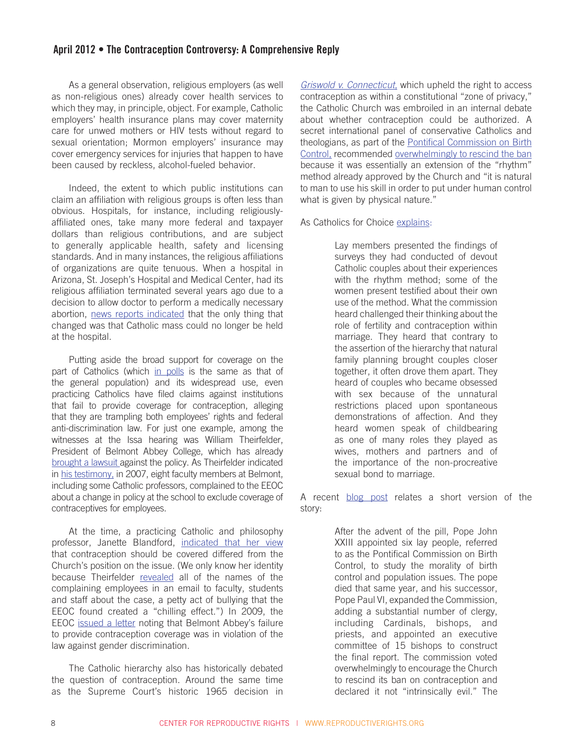As a general observation, religious employers (as well as non-religious ones) already cover health services to which they may, in principle, object. For example, Catholic employers' health insurance plans may cover maternity care for unwed mothers or HIV tests without regard to sexual orientation; Mormon employers' insurance may cover emergency services for injuries that happen to have been caused by reckless, alcohol-fueled behavior.

Indeed, the extent to which public institutions can claim an affiliation with religious groups is often less than obvious. Hospitals, for instance, including religiouslyaffiliated ones, take many more federal and taxpayer dollars than religious contributions, and are subject to generally applicable health, safety and licensing standards. And in many instances, the religious affiliations of organizations are quite tenuous. When a hospital in Arizona, St. Joseph's Hospital and Medical Center, had its religious affiliation terminated several years ago due to a decision to allow doctor to perform a medically necessary abortion, [news reports indicated](http://onfaith.washingtonpost.com/onfaith/undergod/2010/12/st_josephs_hospital_no_longer_catholic_after_abortion_to_save_mothers_life.html) that the only thing that changed was that Catholic mass could no longer be held at the hospital.

Putting aside the broad support for coverage on the part of Catholics (which [in polls](http://www.cbsnews.com/8301-250_162-57377936/cbs-news-polls-2-14-12/?tag=contentMain;contentBody) is the same as that of the general population) and its widespread use, even practicing Catholics have filed claims against institutions that fail to provide coverage for contraception, alleging that they are trampling both employees' rights and federal anti-discrimination law. For just one example, among the witnesses at the Issa hearing was William Theirfelder, President of Belmont Abbey College, which has already [brought a lawsuit](http://www.becketfund.org/belmont-abbey-college-v-sebelius-2011-current/) against the policy. As Theirfelder indicated in [his testimony,](http://oversight.house.gov/images/stories/Testimony/2-16-12_Full_HC_Mandate_Thierfelder.pdf) in 2007, eight faculty members at Belmont, including some Catholic professors, complained to the EEOC about a change in policy at the school to exclude coverage of contraceptives for employees.

At the time, a practicing Catholic and philosophy professor, Janette Blandford, [indicated that her view](http://www.insidehighered.com/news/2009/08/11/belmont) that contraception should be covered differed from the Church's position on the issue. (We only know her identity because Theirfelder [revealed](http://www.insidehighered.com/news/2009/08/11/belmont) all of the names of the complaining employees in an email to faculty, students and staff about the case, a petty act of bullying that the EEOC found created a "chilling effect.") In 2009, the EEOC [issued a letter](http://www.ncregister.com/blog/the_government_vs._belmont_abbey_college/#ixzz1jwkFo26m) noting that Belmont Abbey's failure to provide contraception coverage was in violation of the law against gender discrimination.

The Catholic hierarchy also has historically debated the question of contraception. Around the same time as the Supreme Court's historic 1965 decision in *[Griswold v. Connecticut](http://www.law.cornell.edu/supct/html/historics/USSC_CR_0381_0479_ZO.html)*, which upheld the right to access contraception as within a constitutional "zone of privacy," the Catholic Church was embroiled in an internal debate about whether contraception could be authorized. A secret international panel of conservative Catholics and theologians, as part of the [Pontifical Commission on Birth](http://epublications.marquette.edu/cgi/viewcontent.cgi?article=1047&context=nursing_fac)  [Control](http://epublications.marquette.edu/cgi/viewcontent.cgi?article=1047&context=nursing_fac), recommended [overwhelmingly to rescind the ban](http://www.catholicsforchoice.org/topics/reform/documents/TruthConsequencesFINAL.pdf) because it was essentially an extension of the "rhythm" method already approved by the Church and "it is natural to man to use his skill in order to put under human control what is given by physical nature."

As Catholics for Choice [explains:](http://www.catholicsforchoice.org/topics/reform/documents/TruthConsequencesFINAL.pdf)

Lay members presented the findings of surveys they had conducted of devout Catholic couples about their experiences with the rhythm method; some of the women present testified about their own use of the method. What the commission heard challenged their thinking about the role of fertility and contraception within marriage. They heard that contrary to the assertion of the hierarchy that natural family planning brought couples closer together, it often drove them apart. They heard of couples who became obsessed with sex because of the unnatural restrictions placed upon spontaneous demonstrations of affection. And they heard women speak of childbearing as one of many roles they played as wives, mothers and partners and of the importance of the non-procreative sexual bond to marriage.

A recent [blog post](http://www.rhrealitycheck.org/article/2012/02/21/pontifical-commission-on-birth-control) relates a short version of the story:

> After the advent of the pill, Pope John XXIII appointed six lay people, referred to as the Pontifical Commission on Birth Control, to study the morality of birth control and population issues. The pope died that same year, and his successor, Pope Paul VI, expanded the Commission, adding a substantial number of clergy, including Cardinals, bishops, and priests, and appointed an executive committee of 15 bishops to construct the final report. The commission voted overwhelmingly to encourage the Church to rescind its ban on contraception and declared it not "intrinsically evil." The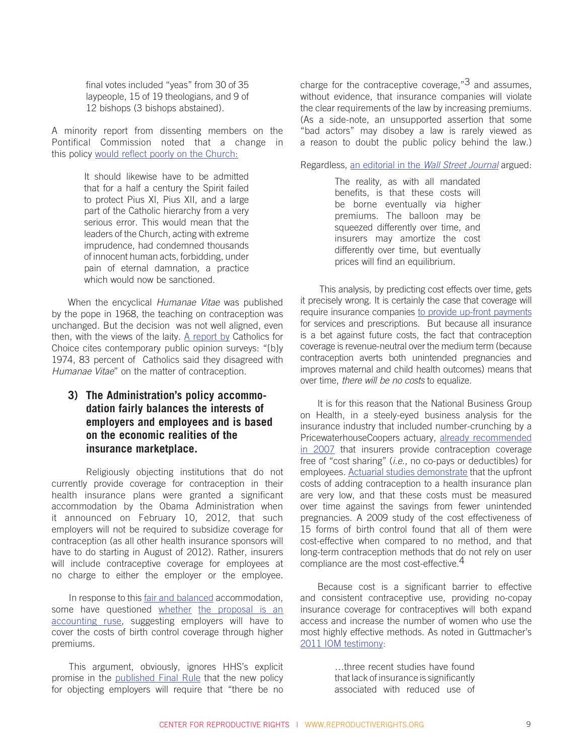final votes included "yeas" from 30 of 35 laypeople, 15 of 19 theologians, and 9 of 12 bishops (3 bishops abstained).

A minority report from dissenting members on the Pontifical Commission noted that a change in this policy [would reflect poorly on the Church:](http://www.secularhumanism.org/index.php?section=library&page=mumford_21_1)

> It should likewise have to be admitted that for a half a century the Spirit failed to protect Pius XI, Pius XII, and a large part of the Catholic hierarchy from a very serious error. This would mean that the leaders of the Church, acting with extreme imprudence, had condemned thousands of innocent human acts, forbidding, under pain of eternal damnation, a practice which would now be sanctioned.

When the encyclical *Humanae Vitae* was published by the pope in 1968, the teaching on contraception was unchanged. But the decision was not well aligned, even then, with the views of the laity. [A report by](http://www.catholicsforchoice.org/topics/reform/documents/TruthConsequencesFINAL.pdf) Catholics for Choice cites contemporary public opinion surveys: "[b]y 1974, 83 percent of Catholics said they disagreed with *Humanae Vitae*" on the matter of contraception.

## **3) The Administration's policy accommodation fairly balances the interests of employers and employees and is based on the economic realities of the insurance marketplace.**

Religiously objecting institutions that do not currently provide coverage for contraception in their health insurance plans were granted a significant accommodation by the Obama Administration when it announced on February 10, 2012, that such employers will not be required to subsidize coverage for contraception (as all other health insurance sponsors will have to do starting in August of 2012). Rather, insurers will include contraceptive coverage for employees at no charge to either the employer or the employee.

In response to this [fair and balanced](http://www.washingtonpost.com/blogs/post-partisan/post/dionne-obama-contraception-compromise-women-white-house-does-the-right-thing/2012/02/10/gIQAcCWK4Q_blog.html) accommodation, some have questioned whether [the proposal is an](http://blunt.senate.gov/public/index.cfm/news?ID=4af10336-1867-472f-a3a1-0bd985a86ce4) [accounting ruse](http://blunt.senate.gov/public/index.cfm/news?ID=4af10336-1867-472f-a3a1-0bd985a86ce4), suggesting employers will have to cover the costs of birth control coverage through higher premiums.

This argument, obviously, ignores HHS's explicit promise in the [published Final Rule](http://www.gpo.gov/fdsys/pkg/FR-2012-02-15/pdf/2012-3547.pdf) that the new policy for objecting employers will require that "there be no charge for the contraceptive coverage,  $3^3$  and assumes, without evidence, that insurance companies will violate the clear requirements of the law by increasing premiums. (As a side-note, an unsupported assertion that some "bad actors" may disobey a law is rarely viewed as a reason to doubt the public policy behind the law.)

Regardless, an editorial in the *[Wall Street Journal](http://online.wsj.com/article/SB10001424052970203646004577215150068215494.html?mod=djemEditorialPage_h)* argued:

The reality, as with all mandated benefits, is that these costs will be borne eventually via higher premiums. The balloon may be squeezed differently over time, and insurers may amortize the cost differently over time, but eventually prices will find an equilibrium.

This analysis, by predicting cost effects over time, gets it precisely wrong. It is certainly the case that coverage will require insurance companies [to provide up-front payments](http://www.washingtonpost.com/blogs/ezra-klein/post/the-catch-in-obamas-contraceptives-compromise/2012/02/10/gIQA5mbG4Q_blog.html) for services and prescriptions. But because all insurance is a bet against future costs, the fact that contraception coverage is revenue-neutral over the medium term (because contraception averts both unintended pregnancies and improves maternal and child health outcomes) means that over time, *there will be no costs* to equalize.

It is for this reason that the National Business Group on Health, in a steely-eyed business analysis for the insurance industry that included number-crunching by a PricewaterhouseCoopers actuary, [already recommended](http://www.businessgrouphealth.org/healthtopics/maternalchild/investing/docs/mch_toolkit.pdf)  [in 2007](http://www.businessgrouphealth.org/healthtopics/maternalchild/investing/docs/mch_toolkit.pdf) that insurers provide contraception coverage free of "cost sharing" (*i.e*., no co-pays or deductibles) for employees. [Actuarial studies demonstrate](http://aspe.hhs.gov/health/reports/2012/contraceptives/ib.shtml#_ftn8.) that the upfront costs of adding contraception to a health insurance plan are very low, and that these costs must be measured over time against the savings from fewer unintended pregnancies. A 2009 study of the cost effectiveness of 15 forms of birth control found that all of them were cost-effective when compared to no method, and that long-term contraception methods that do not rely on user compliance are the most cost-effective.<sup>4</sup>

Because cost is a significant barrier to effective and consistent contraceptive use, providing no-copay insurance coverage for contraceptives will both expand access and increase the number of women who use the most highly effective methods. As noted in Guttmacher's [2011 IOM testimony:](http://www.guttmacher.org/pubs/CPSW-testimony.pdf)

> …three recent studies have found that lack of insurance is significantly associated with reduced use of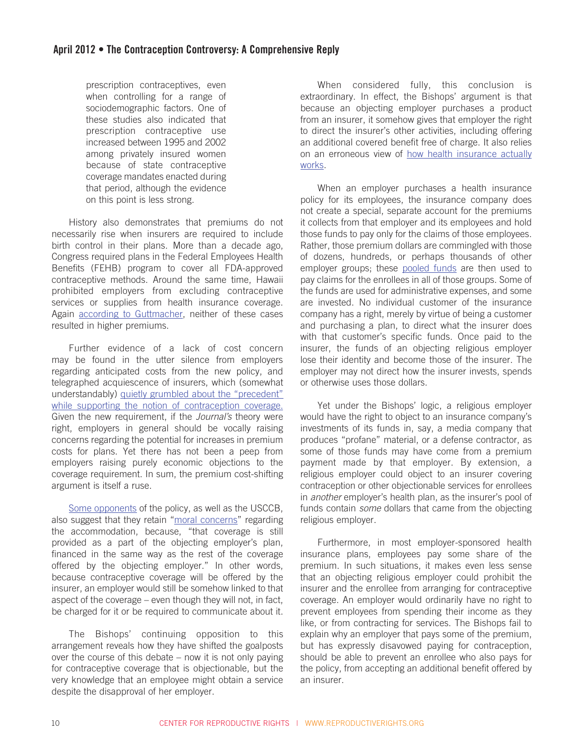prescription contraceptives, even when controlling for a range of sociodemographic factors. One of these studies also indicated that prescription contraceptive use increased between 1995 and 2002 among privately insured women because of state contraceptive coverage mandates enacted during that period, although the evidence on this point is less strong.

History also demonstrates that premiums do not necessarily rise when insurers are required to include birth control in their plans. More than a decade ago, Congress required plans in the Federal Employees Health Benefits (FEHB) program to cover all FDA-approved contraceptive methods. Around the same time, Hawaii prohibited employers from excluding contraceptive services or supplies from health insurance coverage. Again [according to Guttmacher,](http://www.guttmacher.org/pubs/CPSW-testimony.pdf) neither of these cases resulted in higher premiums.

Further evidence of a lack of cost concern may be found in the utter silence from employers regarding anticipated costs from the new policy, and telegraphed acquiescence of insurers, which (somewhat understandably) [quietly grumbled about the "precedent"](http://www.chicagotribune.com/health/sns-rt-us-usa-contraceptives-aetnatre8191on-20120210,0,7460675.story) [while supporting the notion of contraception coverage.](http://www.chicagotribune.com/health/sns-rt-us-usa-contraceptives-aetnatre8191on-20120210,0,7460675.story) Given the new requirement, if the *Journal's* theory were right, employers in general should be vocally raising concerns regarding the potential for increases in premium costs for plans. Yet there has not been a peep from employers raising purely economic objections to the coverage requirement. In sum, the premium cost-shifting argument is itself a ruse.

[Some opponents](http://www.thefreemanonline.org/columns/tgif/its-not-about-contraception/) of the policy, as well as the USCCB, also suggest that they retain "[moral concerns](http://usccb.org/issues-and-action/religious-liberty/conscience-protection/bishops-renew-call-to-legislative-action-on-religious-liberty.cfm)" regarding the accommodation, because, "that coverage is still provided as a part of the objecting employer's plan, financed in the same way as the rest of the coverage offered by the objecting employer." In other words, because contraceptive coverage will be offered by the insurer, an employer would still be somehow linked to that aspect of the coverage – even though they will not, in fact, be charged for it or be required to communicate about it.

The Bishops' continuing opposition to this arrangement reveals how they have shifted the goalposts over the course of this debate – now it is not only paying for contraceptive coverage that is objectionable, but the very knowledge that an employee might obtain a service despite the disapproval of her employer.

When considered fully, this conclusion is extraordinary. In effect, the Bishops' argument is that because an objecting employer purchases a product from an insurer, it somehow gives that employer the right to direct the insurer's other activities, including offering an additional covered benefit free of charge. It also relies on an erroneous view of [how health insurance actually](http://www.kff.org/insurance/upload/7766.pdf)  [works.](http://www.kff.org/insurance/upload/7766.pdf)

When an employer purchases a health insurance policy for its employees, the insurance company does not create a special, separate account for the premiums it collects from that employer and its employees and hold those funds to pay only for the claims of those employees. Rather, those premium dollars are commingled with those of dozens, hundreds, or perhaps thousands of other employer groups; these [pooled funds](http://www.naic.org/documents/topics_health_insurance_rate_regulation_brief.pdf) are then used to pay claims for the enrollees in all of those groups. Some of the funds are used for administrative expenses, and some are invested. No individual customer of the insurance company has a right, merely by virtue of being a customer and purchasing a plan, to direct what the insurer does with that customer's specific funds. Once paid to the insurer, the funds of an objecting religious employer lose their identity and become those of the insurer. The employer may not direct how the insurer invests, spends or otherwise uses those dollars.

Yet under the Bishops' logic, a religious employer would have the right to object to an insurance company's investments of its funds in, say, a media company that produces "profane" material, or a defense contractor, as some of those funds may have come from a premium payment made by that employer. By extension, a religious employer could object to an insurer covering contraception or other objectionable services for enrollees in *another* employer's health plan, as the insurer's pool of funds contain *some* dollars that came from the objecting religious employer.

Furthermore, in most employer-sponsored health insurance plans, employees pay some share of the premium. In such situations, it makes even less sense that an objecting religious employer could prohibit the insurer and the enrollee from arranging for contraceptive coverage. An employer would ordinarily have no right to prevent employees from spending their income as they like, or from contracting for services. The Bishops fail to explain why an employer that pays some of the premium, but has expressly disavowed paying for contraception, should be able to prevent an enrollee who also pays for the policy, from accepting an additional benefit offered by an insurer.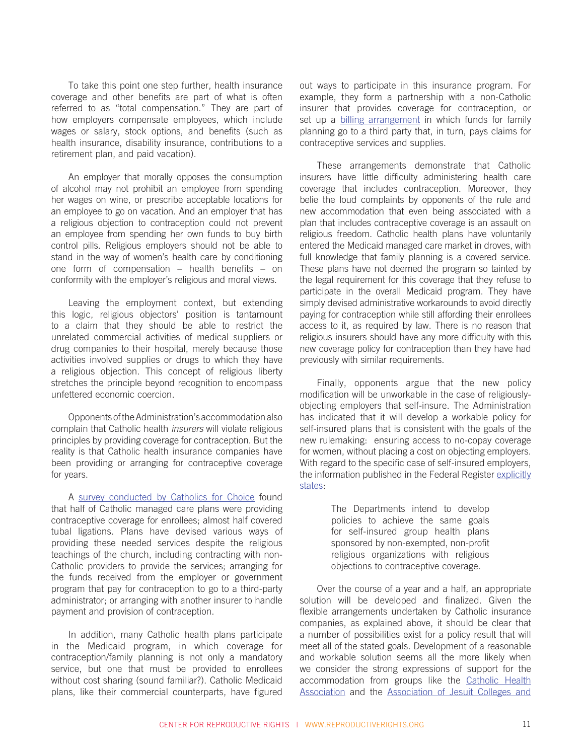To take this point one step further, health insurance coverage and other benefits are part of what is often referred to as "total compensation." They are part of how employers compensate employees, which include wages or salary, stock options, and benefits (such as health insurance, disability insurance, contributions to a retirement plan, and paid vacation).

An employer that morally opposes the consumption of alcohol may not prohibit an employee from spending her wages on wine, or prescribe acceptable locations for an employee to go on vacation. And an employer that has a religious objection to contraception could not prevent an employee from spending her own funds to buy birth control pills. Religious employers should not be able to stand in the way of women's health care by conditioning one form of compensation – health benefits – on conformity with the employer's religious and moral views.

Leaving the employment context, but extending this logic, religious objectors' position is tantamount to a claim that they should be able to restrict the unrelated commercial activities of medical suppliers or drug companies to their hospital, merely because those activities involved supplies or drugs to which they have a religious objection. This concept of religious liberty stretches the principle beyond recognition to encompass unfettered economic coercion.

Opponents of the Administration's accommodation also complain that Catholic health *insurers* will violate religious principles by providing coverage for contraception. But the reality is that Catholic health insurance companies have been providing or arranging for contraceptive coverage for years.

A [survey conducted by Catholics for Choice](http://www.catholicsforchoice.org/topics/healthcare/documents/2000catholichmos.pdf) found that half of Catholic managed care plans were providing contraceptive coverage for enrollees; almost half covered tubal ligations. Plans have devised various ways of providing these needed services despite the religious teachings of the church, including contracting with non-Catholic providers to provide the services; arranging for the funds received from the employer or government program that pay for contraception to go to a third-party administrator; or arranging with another insurer to handle payment and provision of contraception.

In addition, many Catholic health plans participate in the Medicaid program, in which coverage for contraception/family planning is not only a mandatory service, but one that must be provided to enrollees without cost sharing (sound familiar?). Catholic Medicaid plans, like their commercial counterparts, have figured out ways to participate in this insurance program. For example, they form a partnership with a non-Catholic insurer that provides coverage for contraception, or set up a [billing arrangement](http://www.mercycareplan.com/common/downloads/Provider_Newsletter_Summer_2011.pdf) in which funds for family planning go to a third party that, in turn, pays claims for contraceptive services and supplies.

These arrangements demonstrate that Catholic insurers have little difficulty administering health care coverage that includes contraception. Moreover, they belie the loud complaints by opponents of the rule and new accommodation that even being associated with a plan that includes contraceptive coverage is an assault on religious freedom. Catholic health plans have voluntarily entered the Medicaid managed care market in droves, with full knowledge that family planning is a covered service. These plans have not deemed the program so tainted by the legal requirement for this coverage that they refuse to participate in the overall Medicaid program. They have simply devised administrative workarounds to avoid directly paying for contraception while still affording their enrollees access to it, as required by law. There is no reason that religious insurers should have any more difficulty with this new coverage policy for contraception than they have had previously with similar requirements.

Finally, opponents argue that the new policy modification will be unworkable in the case of religiouslyobjecting employers that self-insure. The Administration has indicated that it will develop a workable policy for self-insured plans that is consistent with the goals of the new rulemaking: ensuring access to no-copay coverage for women, without placing a cost on objecting employers. With regard to the specific case of self-insured employers. the information published in the Federal Register [explicitly](http://www.gpo.gov/fdsys/pkg/FR-2012-02-15/pdf/2012-3547.pdf) [states:](http://www.gpo.gov/fdsys/pkg/FR-2012-02-15/pdf/2012-3547.pdf)

> The Departments intend to develop policies to achieve the same goals for self-insured group health plans sponsored by non-exempted, non-profit religious organizations with religious objections to contraceptive coverage.

Over the course of a year and a half, an appropriate solution will be developed and finalized. Given the flexible arrangements undertaken by Catholic insurance companies, as explained above, it should be clear that a number of possibilities exist for a policy result that will meet all of the stated goals. Development of a reasonable and workable solution seems all the more likely when we consider the strong expressions of support for the accommodation from groups like the [Catholic Health](http://www.chausa.org/Pages/Newsroom/Releases/2012/Catholic_Health_Association_is_Very_Pleased_with_Todays_White_House_Resolution_that_Protects_Religious_Liberty_and_Conscience_Rights/) [Association](http://www.chausa.org/Pages/Newsroom/Releases/2012/Catholic_Health_Association_is_Very_Pleased_with_Todays_White_House_Resolution_that_Protects_Religious_Liberty_and_Conscience_Rights/) and the [Association of Jesuit Colleges and](http://www.ajcunet.edu/index.aspx?bid=992)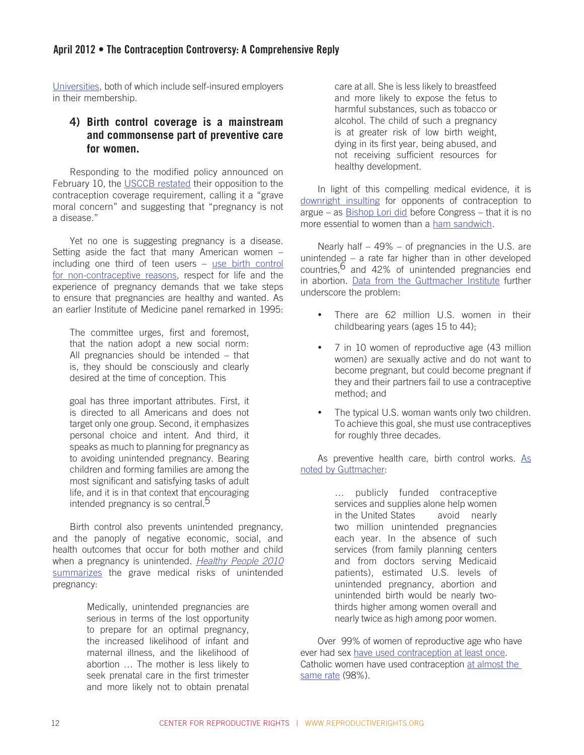[Universities](http://www.ajcunet.edu/index.aspx?bid=992), both of which include self-insured employers in their membership.

## **4) Birth control coverage is a mainstream and commonsense part of preventive care for women.**

Responding to the modified policy announced on February 10, the [USCCB restated](http://usccb.org/news/2012/12-026.cfm) their opposition to the contraception coverage requirement, calling it a "grave moral concern" and suggesting that "pregnancy is not a disease."

Yet no one is suggesting pregnancy is a disease. Setting aside the fact that many American women – including one third of teen users – [use birth control](http://www.guttmacher.org/media/nr/2011/11/15/index.html) [for non-contraceptive reasons](http://www.guttmacher.org/media/nr/2011/11/15/index.html), respect for life and the experience of pregnancy demands that we take steps to ensure that pregnancies are healthy and wanted. As an earlier Institute of Medicine panel remarked in 1995:

The committee urges, first and foremost, that the nation adopt a new social norm: All pregnancies should be intended – that is, they should be consciously and clearly desired at the time of conception. This

goal has three important attributes. First, it is directed to all Americans and does not target only one group. Second, it emphasizes personal choice and intent. And third, it speaks as much to planning for pregnancy as to avoiding unintended pregnancy. Bearing children and forming families are among the most significant and satisfying tasks of adult life, and it is in that context that encouraging intended pregnancy is so central.<sup>5</sup>

Birth control also prevents unintended pregnancy, and the panoply of negative economic, social, and health outcomes that occur for both mother and child when a pregnancy is unintended. *[Healthy People 2010](http://www.guttmacher.org/pubs/gpr/13/2/gpr130202.html)*  [summarizes](http://www.guttmacher.org/pubs/gpr/13/2/gpr130202.html) the grave medical risks of unintended pregnancy:

> Medically, unintended pregnancies are serious in terms of the lost opportunity to prepare for an optimal pregnancy, the increased likelihood of infant and maternal illness, and the likelihood of abortion … The mother is less likely to seek prenatal care in the first trimester and more likely not to obtain prenatal

care at all. She is less likely to breastfeed and more likely to expose the fetus to harmful substances, such as tobacco or alcohol. The child of such a pregnancy is at greater risk of low birth weight, dying in its first year, being abused, and not receiving sufficient resources for healthy development.

In light of this compelling medical evidence, it is [downright insulting](http://www.rhrealitycheck.org/article/2012/02/16/religious-freedom-to-deny-women-health-care-ham-sandwich-defense) for opponents of contraception to argue – as [Bishop Lori did](http://oversight.house.gov/images/stories/Testimony/2-16-12_Full_HC_Mandate_BishopLori.pdf) before Congress – that it is no more essential to women than a [ham sandwich.](http://www.thedailyshow.com/watch/mon-february-20-2012/the-punanny-state)

Nearly half – 49% – of pregnancies in the U.S. are unintended – a rate far higher than in other developed countries,  $6$  and 42% of unintended pregnancies end in abortion. [Data from the Guttmacher Institute](http://www.guttmacher.org/pubs/fb_contr_use.html) further underscore the problem:

- There are 62 million U.S. women in their childbearing years (ages 15 to 44);
- 7 in 10 women of reproductive age (43 million women) are sexually active and do not want to become pregnant, but could become pregnant if they and their partners fail to use a contraceptive method; and
- The typical U.S. woman wants only two children. To achieve this goal, she must use contraceptives for roughly three decades.

[As](http://www.guttmacher.org/pubs/gpr/13/2/gpr130202.html) preventive health care, birth control works. As [noted by Guttmacher](http://www.guttmacher.org/pubs/gpr/13/2/gpr130202.html):

> … publicly funded contraceptive services and supplies alone help women in the United States avoid nearly two million unintended pregnancies each year. In the absence of such services (from family planning centers and from doctors serving Medicaid patients), estimated U.S. levels of unintended pregnancy, abortion and unintended birth would be nearly twothirds higher among women overall and nearly twice as high among poor women.

Over 99% of women of reproductive age who have ever had sex [have used contraception at least once](http://www.guttmacher.org/media/inthenews/2012/02/15/). Catholic women have used contraception at almost the [same rate](http://www.guttmacher.org/media/inthenews/2012/02/15/) (98%).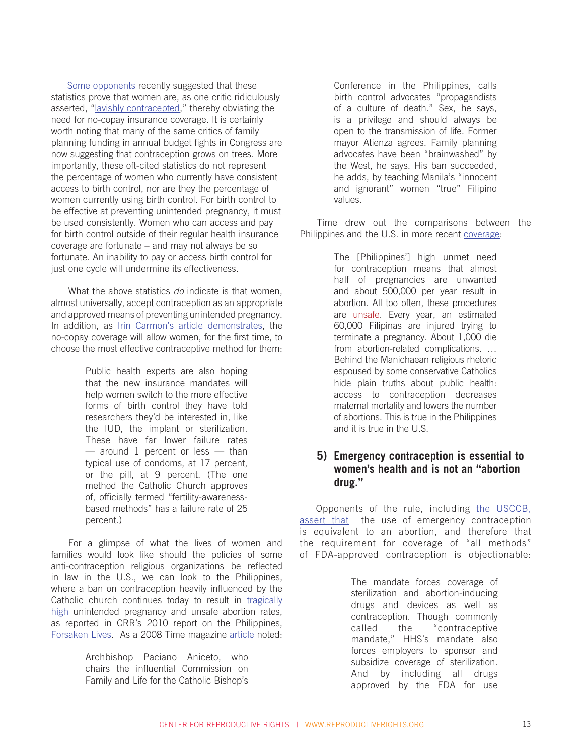[Some opponents](http://www.alexashrugged.com/2012/02/debunking-myth-that-99-of-women-are.html) recently suggested that these statistics prove that women are, as one critic ridiculously asserted, ["lavishly contracepted,](http://www.nypost.com/p/news/opinion/opedcolumnists/an_absurd_assault_on_women_omCvHg6u9h8uZS1Z61wmJJ)" thereby obviating the need for no-copay insurance coverage. It is certainly worth noting that many of the same critics of family planning funding in annual budget fights in Congress are now suggesting that contraception grows on trees. More importantly, these oft-cited statistics do not represent the percentage of women who currently have consistent access to birth control, nor are they the percentage of women currently using birth control. For birth control to be effective at preventing unintended pregnancy, it must be used consistently. Women who can access and pay for birth control outside of their regular health insurance coverage are fortunate – and may not always be so fortunate. An inability to pay or access birth control for just one cycle will undermine its effectiveness.

What the above statistics *do* indicate is that women, almost universally, accept contraception as an appropriate and approved means of preventing unintended pregnancy. In addition, as [Irin Carmon's article demonstrates](http://www.salon.com/2012/02/21/debunking_the_rights_contraception_myths/singleton/), the no-copay coverage will allow women, for the first time, to choose the most effective contraceptive method for them:

> Public health experts are also hoping that the new insurance mandates will help women switch to the more effective forms of birth control they have told researchers they'd be interested in, like the IUD, the implant or sterilization. These have far lower failure rates — around 1 percent or less — than typical use of condoms, at 17 percent, or the pill, at 9 percent. (The one method the Catholic Church approves of, officially termed "fertility-awarenessbased methods" has a failure rate of 25 percent.)

For a glimpse of what the lives of women and families would look like should the policies of some anti-contraception religious organizations be reflected in law in the U.S., we can look to the Philippines, where a ban on contraception heavily influenced by the Catholic church continues today to result in [tragically](http://reproductiverights.org/sites/crr.civicactions.net/files/documents/exec_philreport_2010_spreads.pdf) [high](http://reproductiverights.org/sites/crr.civicactions.net/files/documents/exec_philreport_2010_spreads.pdf) unintended pregnancy and unsafe abortion rates, as reported in CRR's 2010 report on the Philippines, [Forsaken Lives.](http://reproductiverights.org/en/forsakenlives) As a 2008 Time magazine [article](http://www.time.com/time/world/article/0,8599,1812250,00.html#ixzz1nS0ZVGWg) noted:

> Archbishop Paciano Aniceto, who chairs the influential Commission on Family and Life for the Catholic Bishop's

Conference in the Philippines, calls birth control advocates "propagandists of a culture of death." Sex, he says, is a privilege and should always be open to the transmission of life. Former mayor Atienza agrees. Family planning advocates have been "brainwashed" by the West, he says. His ban succeeded, he adds, by teaching Manila's "innocent and ignorant" women "true" Filipino values.

Time drew out the comparisons between the Philippines and the U.S. in more recent [coverage](http://globalspin.blogs.time.com/2012/02/21/when-a-country-cracks-down-on-contraception-grim-lessons-from-the-philippines/#ixzz1nS1nUKAI):

> The [Philippines'] high unmet need for contraception means that almost half of pregnancies are unwanted and about 500,000 per year result in abortion. All too often, these procedures are [unsafe.](http://www.who.int/reproductivehealth/publications/unsafe_abortion/9789241501118/en/index.html) Every year, an estimated 60,000 Filipinas are injured trying to terminate a pregnancy. About 1,000 die from abortion-related complications. … Behind the Manichaean religious rhetoric espoused by some conservative Catholics hide plain truths about public health: access to contraception decreases maternal mortality and lowers the number of abortions. This is true in the Philippines and it is true in the U.S.

## **5) Emergency contraception is essential to women's health and is not an "abortion drug."**

Opponents of the rule, including [the USCCB](http://usccbmedia.blogspot.com/2012/02/six-things-everyone-should-know-about.html), [assert that](http://www.nytimes.com/2012/02/17/health/religious-groups-equate-some-contraceptives-with-abortion.html) the use of emergency contraception is equivalent to an abortion, and therefore that the requirement for coverage of "all methods" of FDA-approved contraception is objectionable:

> The mandate forces coverage of sterilization and abortion-inducing drugs and devices as well as contraception. Though commonly called the "contraceptive mandate," HHS's mandate also forces employers to sponsor and subsidize coverage of sterilization. And by including all drugs approved by the FDA for use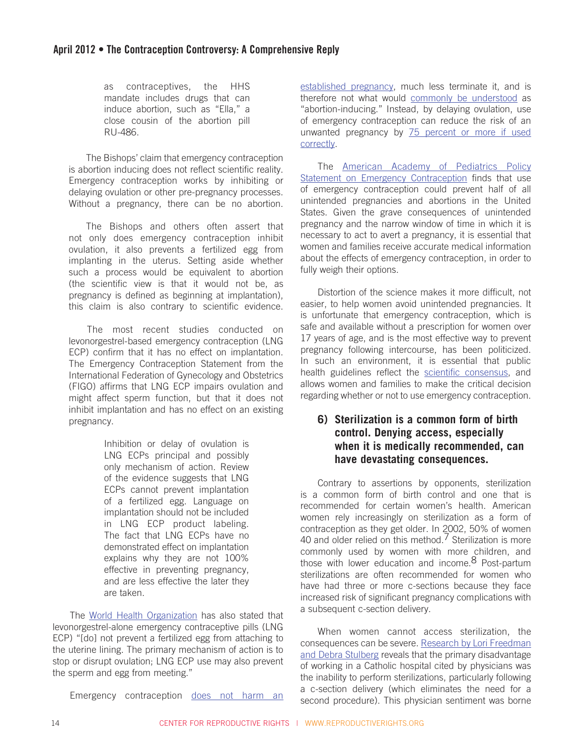as contraceptives, the HHS mandate includes drugs that can induce abortion, such as "Ella," a close cousin of the abortion pill RU-486.

The Bishops' claim that emergency contraception is abortion inducing does not reflect scientific reality. Emergency contraception works by inhibiting or delaying ovulation or other pre-pregnancy processes. Without a pregnancy, there can be no abortion.

The Bishops and others often assert that not only does emergency contraception inhibit ovulation, it also prevents a fertilized egg from implanting in the uterus. Setting aside whether such a process would be equivalent to abortion (the scientific view is that it would not be, as pregnancy is defined as beginning at implantation), this claim is also contrary to scientific evidence.

The most recent studies conducted on levonorgestrel-based emergency contraception (LNG ECP) confirm that it has no effect on implantation. The Emergency Contraception Statement from the International Federation of Gynecology and Obstetrics (FIGO) affirms that LNG ECP impairs ovulation and might affect sperm function, but that it does not inhibit implantation and has no effect on an existing pregnancy.

> Inhibition or delay of ovulation is LNG ECPs principal and possibly only mechanism of action. Review of the evidence suggests that LNG ECPs cannot prevent implantation of a fertilized egg. Language on implantation should not be included in LNG ECP product labeling. The fact that LNG ECPs have no demonstrated effect on implantation explains why they are not 100% effective in preventing pregnancy, and are less effective the later they are taken.

The [World Health Organization](http://whqlibdoc.who.int/hq/2010/WHO_RHR_HRP_10.06_eng.pdf) has also stated that levonorgestrel-alone emergency contraceptive pills (LNG ECP) "[do] not prevent a fertilized egg from attaching to the uterine lining. The primary mechanism of action is to stop or disrupt ovulation; LNG ECP use may also prevent the sperm and egg from meeting."

Emergency contraception [does not harm an](http://www.google.com/url?sa=t&rct=j&q=&esrc=s&source=web&cd=1&ved=0CCcQFjAA&url=http%3A%2F%2Fwww.acog.cl%2Fdescarga.php%3Fid%3D9%26tipo%3Deducacion&ei=919GT6bLHPGp0AGXl-y6Dg&usg=AFQjCNEmjH_QwS0ITqwYPH-AGS34ExBU3w&sig2=PpiEX-N3_bpTTyIs58gOrg)

[established pregnancy](http://www.google.com/url?sa=t&rct=j&q=&esrc=s&source=web&cd=1&ved=0CCcQFjAA&url=http%3A%2F%2Fwww.acog.cl%2Fdescarga.php%3Fid%3D9%26tipo%3Deducacion&ei=919GT6bLHPGp0AGXl-y6Dg&usg=AFQjCNEmjH_QwS0ITqwYPH-AGS34ExBU3w&sig2=PpiEX-N3_bpTTyIs58gOrg), much less terminate it, and is therefore not what would [commonly be understood](http://www.ontheissuesmagazine.com/cafe2/article/199) as "abortion-inducing." Instead, by delaying ovulation, use of emergency contraception can reduce the risk of an unwanted pregnancy by [75 percent or more if used](http://www.aafp.org/afp/2004/0815/p707.html) [correctly](http://www.aafp.org/afp/2004/0815/p707.html).

The **[American Academy of Pediatrics Policy](http://ec.princeton.edu/news/aap-ecstatement.pdf)** [Statement on Emergency Contraception](http://ec.princeton.edu/news/aap-ecstatement.pdf) finds that use of emergency contraception could prevent half of all unintended pregnancies and abortions in the United States. Given the grave consequences of unintended pregnancy and the narrow window of time in which it is necessary to act to avert a pregnancy, it is essential that women and families receive accurate medical information about the effects of emergency contraception, in order to fully weigh their options.

Distortion of the science makes it more difficult, not easier, to help women avoid unintended pregnancies. It is unfortunate that emergency contraception, which is safe and available without a prescription for women over 17 years of age, and is the most effective way to prevent pregnancy following intercourse, has been politicized. In such an environment, it is essential that public health guidelines reflect the [scientific consensus,](http://ec.princeton.edu/questions/ec-review.pdf) and allows women and families to make the critical decision regarding whether or not to use emergency contraception.

# **6) Sterilization is a common form of birth control. Denying access, especially when it is medically recommended, can have devastating consequences.**

Contrary to assertions by opponents, sterilization is a common form of birth control and one that is recommended for certain women's health. American women rely increasingly on sterilization as a form of contraception as they get older. In 2002, 50% of women 40 and older relied on this method.<sup>7</sup> Sterilization is more commonly used by women with more children, and those with lower education and income.8 Post-partum sterilizations are often recommended for women who have had three or more c-sections because they face increased risk of significant pregnancy complications with a subsequent c-section delivery.

When women cannot access sterilization, the consequences can be severe. [Research by Lori Freedman](http://apha.confex.com/apha/139am/webprogram/Paper243315.html) [and Debra Stulberg](http://apha.confex.com/apha/139am/webprogram/Paper243315.html) reveals that the primary disadvantage of working in a Catholic hospital cited by physicians was the inability to perform sterilizations, particularly following a c-section delivery (which eliminates the need for a second procedure). This physician sentiment was borne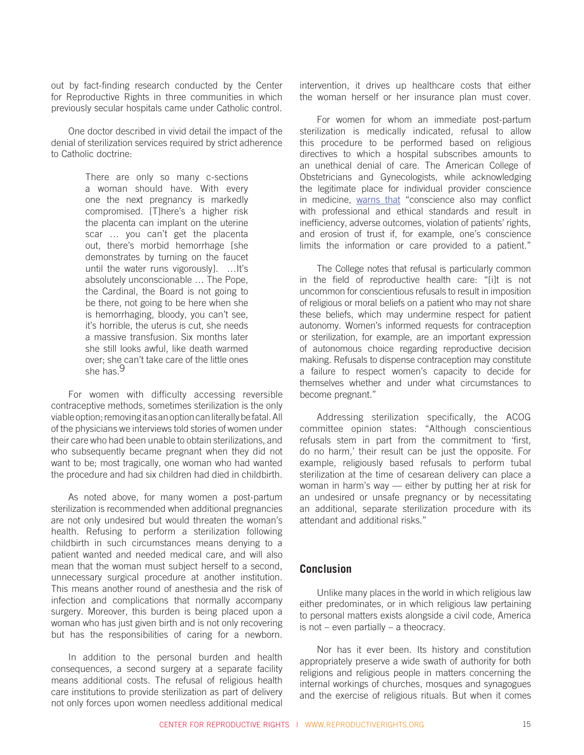out by fact-finding research conducted by the Center for Reproductive Rights in three communities in which previously secular hospitals came under Catholic control.

One doctor described in vivid detail the impact of the denial of sterilization services required by strict adherence to Catholic doctrine:

> There are only so many c-sections a woman should have. With every one the next pregnancy is markedly compromised. [T]here's a higher risk the placenta can implant on the uterine scar … you can't get the placenta out, there's morbid hemorrhage [she demonstrates by turning on the faucet until the water runs vigorously]. …It's absolutely unconscionable … The Pope, the Cardinal, the Board is not going to be there, not going to be here when she is hemorrhaging, bloody, you can't see, it's horrible, the uterus is cut, she needs a massive transfusion. Six months later she still looks awful, like death warmed over; she can't take care of the little ones she has 9

For women with difficulty accessing reversible contraceptive methods, sometimes sterilization is the only viable option; removing it as an option can literally be fatal. All of the physicians we interviews told stories of women under their care who had been unable to obtain sterilizations, and who subsequently became pregnant when they did not want to be; most tragically, one woman who had wanted the procedure and had six children had died in childbirth.

As noted above, for many women a post-partum sterilization is recommended when additional pregnancies are not only undesired but would threaten the woman's health. Refusing to perform a sterilization following childbirth in such circumstances means denying to a patient wanted and needed medical care, and will also mean that the woman must subject herself to a second, unnecessary surgical procedure at another institution. This means another round of anesthesia and the risk of infection and complications that normally accompany surgery. Moreover, this burden is being placed upon a woman who has just given birth and is not only recovering but has the responsibilities of caring for a newborn.

In addition to the personal burden and health consequences, a second surgery at a separate facility means additional costs. The refusal of religious health care institutions to provide sterilization as part of delivery not only forces upon women needless additional medical intervention, it drives up healthcare costs that either the woman herself or her insurance plan must cover.

For women for whom an immediate post-partum sterilization is medically indicated, refusal to allow this procedure to be performed based on religious directives to which a hospital subscribes amounts to an unethical denial of care. The American College of Obstetricians and Gynecologists, while acknowledging the legitimate place for individual provider conscience in medicine, [warns that](http://www.acog.org/Resources_And_Publications/Committee_Opinions/Committee_on_Ethics/The_Limits_of_Conscientious_Refusal_in_Reproductive_Medicine) "conscience also may conflict with professional and ethical standards and result in inefficiency, adverse outcomes, violation of patients' rights, and erosion of trust if, for example, one's conscience limits the information or care provided to a patient."

The College notes that refusal is particularly common in the field of reproductive health care: "[i]t is not uncommon for conscientious refusals to result in imposition of religious or moral beliefs on a patient who may not share these beliefs, which may undermine respect for patient autonomy. Women's informed requests for contraception or sterilization, for example, are an important expression of autonomous choice regarding reproductive decision making. Refusals to dispense contraception may constitute a failure to respect women's capacity to decide for themselves whether and under what circumstances to become pregnant."

Addressing sterilization specifically, the ACOG committee opinion states: "Although conscientious refusals stem in part from the commitment to 'first, do no harm,' their result can be just the opposite. For example, religiously based refusals to perform tubal sterilization at the time of cesarean delivery can place a woman in harm's way — either by putting her at risk for an undesired or unsafe pregnancy or by necessitating an additional, separate sterilization procedure with its attendant and additional risks."

#### **Conclusion**

Unlike many places in the world in which religious law either predominates, or in which religious law pertaining to personal matters exists alongside a civil code, America is not – even partially – a theocracy.

Nor has it ever been. Its history and constitution appropriately preserve a wide swath of authority for both religions and religious people in matters concerning the internal workings of churches, mosques and synagogues and the exercise of religious rituals. But when it comes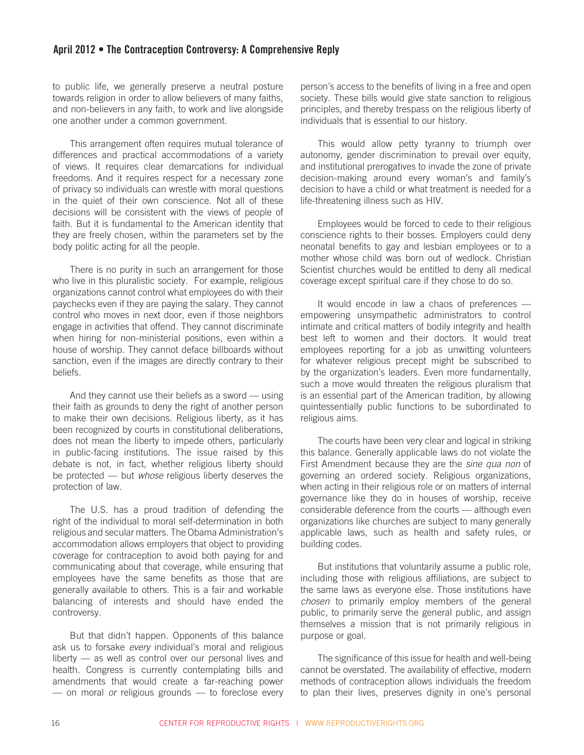to public life, we generally preserve a neutral posture towards religion in order to allow believers of many faiths, and non-believers in any faith, to work and live alongside one another under a common government.

This arrangement often requires mutual tolerance of differences and practical accommodations of a variety of views. It requires clear demarcations for individual freedoms. And it requires respect for a necessary zone of privacy so individuals can wrestle with moral questions in the quiet of their own conscience. Not all of these decisions will be consistent with the views of people of faith. But it is fundamental to the American identity that they are freely chosen, within the parameters set by the body politic acting for all the people.

There is no purity in such an arrangement for those who live in this pluralistic society. For example, religious organizations cannot control what employees do with their paychecks even if they are paying the salary. They cannot control who moves in next door, even if those neighbors engage in activities that offend. They cannot discriminate when hiring for non-ministerial positions, even within a house of worship. They cannot deface billboards without sanction, even if the images are directly contrary to their beliefs.

And they cannot use their beliefs as a sword — using their faith as grounds to deny the right of another person to make their own decisions. Religious liberty, as it has been recognized by courts in constitutional deliberations, does not mean the liberty to impede others, particularly in public-facing institutions. The issue raised by this debate is not, in fact, whether religious liberty should be protected — but *whose* religious liberty deserves the protection of law.

The U.S. has a proud tradition of defending the right of the individual to moral self-determination in both religious and secular matters. The Obama Administration's accommodation allows employers that object to providing coverage for contraception to avoid both paying for and communicating about that coverage, while ensuring that employees have the same benefits as those that are generally available to others. This is a fair and workable balancing of interests and should have ended the controversy.

But that didn't happen. Opponents of this balance ask us to forsake *every* individual's moral and religious liberty — as well as control over our personal lives and health. Congress is currently contemplating bills and amendments that would create a far-reaching power — on moral *or* religious grounds — to foreclose every person's access to the benefits of living in a free and open society. These bills would give state sanction to religious principles, and thereby trespass on the religious liberty of individuals that is essential to our history.

This would allow petty tyranny to triumph over autonomy, gender discrimination to prevail over equity, and institutional prerogatives to invade the zone of private decision-making around every woman's and family's decision to have a child or what treatment is needed for a life-threatening illness such as HIV.

Employees would be forced to cede to their religious conscience rights to their bosses. Employers could deny neonatal benefits to gay and lesbian employees or to a mother whose child was born out of wedlock. Christian Scientist churches would be entitled to deny all medical coverage except spiritual care if they chose to do so.

It would encode in law a chaos of preferences empowering unsympathetic administrators to control intimate and critical matters of bodily integrity and health best left to women and their doctors. It would treat employees reporting for a job as unwitting volunteers for whatever religious precept might be subscribed to by the organization's leaders. Even more fundamentally, such a move would threaten the religious pluralism that is an essential part of the American tradition, by allowing quintessentially public functions to be subordinated to religious aims.

The courts have been very clear and logical in striking this balance. Generally applicable laws do not violate the First Amendment because they are the *sine qua non* of governing an ordered society. Religious organizations, when acting in their religious role or on matters of internal governance like they do in houses of worship, receive considerable deference from the courts — although even organizations like churches are subject to many generally applicable laws, such as health and safety rules, or building codes.

But institutions that voluntarily assume a public role, including those with religious affiliations, are subject to the same laws as everyone else. Those institutions have *chosen* to primarily employ members of the general public, to primarily serve the general public, and assign themselves a mission that is not primarily religious in purpose or goal.

The significance of this issue for health and well-being cannot be overstated. The availability of effective, modern methods of contraception allows individuals the freedom to plan their lives, preserves dignity in one's personal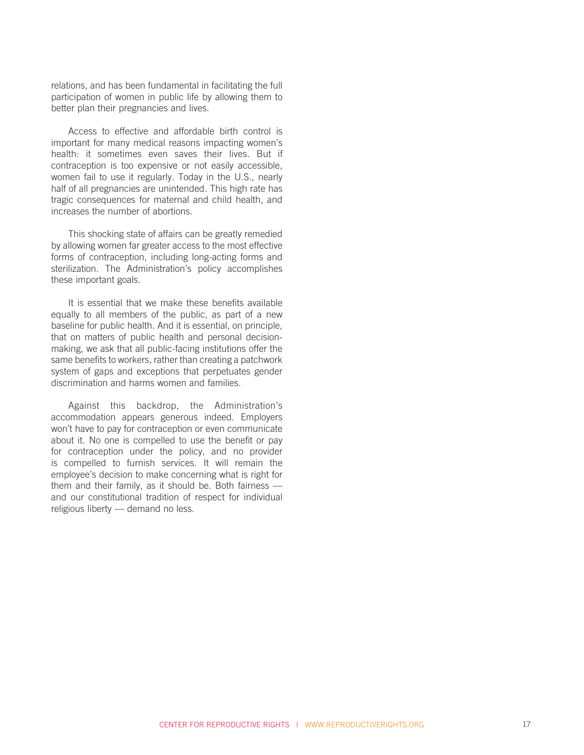relations, and has been fundamental in facilitating the full participation of women in public life by allowing them to better plan their pregnancies and lives.

Access to effective and affordable birth control is important for many medical reasons impacting women's health: it sometimes even saves their lives. But if contraception is too expensive or not easily accessible, women fail to use it regularly. Today in the U.S., nearly half of all pregnancies are unintended. This high rate has tragic consequences for maternal and child health, and increases the number of abortions.

This shocking state of affairs can be greatly remedied by allowing women far greater access to the most effective forms of contraception, including long-acting forms and sterilization. The Administration's policy accomplishes these important goals.

It is essential that we make these benefits available equally to all members of the public, as part of a new baseline for public health. And it is essential, on principle, that on matters of public health and personal decisionmaking, we ask that all public-facing institutions offer the same benefits to workers, rather than creating a patchwork system of gaps and exceptions that perpetuates gender discrimination and harms women and families.

Against this backdrop, the Administration's accommodation appears generous indeed. Employers won't have to pay for contraception or even communicate about it. No one is compelled to use the benefit or pay for contraception under the policy, and no provider is compelled to furnish services. It will remain the employee's decision to make concerning what is right for them and their family, as it should be. Both fairness and our constitutional tradition of respect for individual religious liberty — demand no less.